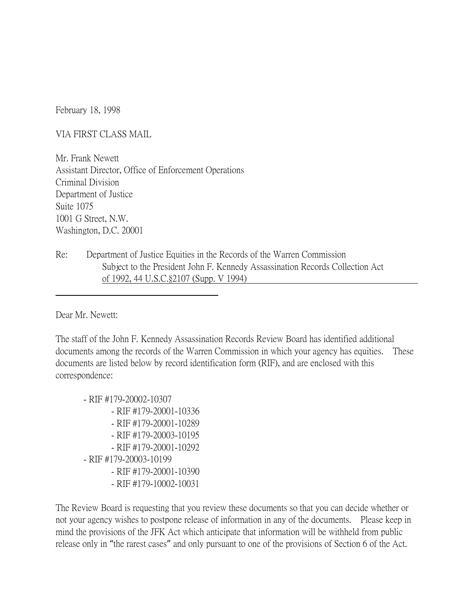February 18, 1998

VIA FIRST CLASS MAIL

Mr. Frank Newett Assistant Director, Office of Enforcement Operations Criminal Division Department of Justice Suite 1075 1001 G Street, N.W. Washington, D.C. 20001

Re: Department of Justice Equities in the Records of the Warren Commission Subject to the President John F. Kennedy Assassination Records Collection Act of 1992, 44 U.S.C.§2107 (Supp. V 1994)

Dear Mr. Newett:

The staff of the John F. Kennedy Assassination Records Review Board has identified additional documents among the records of the Warren Commission in which your agency has equities. These documents are listed below by record identification form (RIF), and are enclosed with this correspondence:

- RIF #179-20002-10307
	- RIF #179-20001-10336
	- RIF #179-20001-10289
	- RIF #179-20003-10195
	- RIF #179-20001-10292
- RIF #179-20003-10199
	- RIF #179-20001-10390
	- RIF #179-10002-10031

The Review Board is requesting that you review these documents so that you can decide whether or not your agency wishes to postpone release of information in any of the documents. Please keep in mind the provisions of the JFK Act which anticipate that information will be withheld from public release only in "the rarest cases" and only pursuant to one of the provisions of Section 6 of the Act.